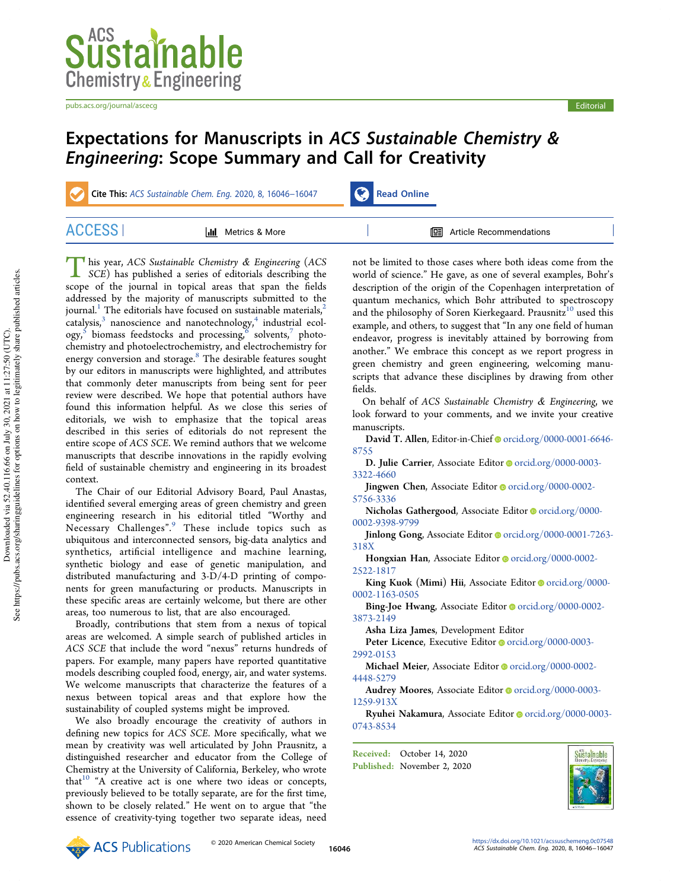

pubs.acs.org/journal/ascecg entertainment of the control of the control of the control entertainment of the control of the control of the control of the control of the control of the control of the control of the control o

# Expectations for Manuscripts in ACS Sustainable Chemistry & Engineering: Scope Summary and Call for Creativity

Cite This: ACS Sustainable Chem. Eng. 2020, 8, 16046-16047 Read Online

| More<br>MA<br>- III | ⊪<br>. |
|---------------------|--------|
|                     |        |

This year, ACS Sustainable Chemistry & Engineering (ACS SCE) has published a series of editorials describing the scope of the journal in topical areas that span the fields his year, ACS Sustainable Chemistry & Engineering (ACS SCE) has published a series of editorials describing the addressed by the majority of manuscripts submitted to the journal.<sup>1</sup> The editorials have focused on sustainable materials,<sup>2</sup>  $\zeta$ catalysis, $^3$  nanoscience and nanotechnology, $^4$  industrial ecology,  $\stackrel{\text{\rm s}}{>}$  biomass feedstocks and processing,  $\stackrel{\text{\rm s}}{}}{ }$  solvents,  $\stackrel{\text{\rm s}}{}}{}$  photochemistry and photoelectrochemistry, and electrochemistry for energy conversion and storage.<sup>8</sup> The desirable features sought by our editors in manuscripts were highlighted, and attributes that commonly deter manuscripts from being sent for peer review were described. We hope that potential authors have found this information helpful. As we close this series of editorials, we wish to emphasize that the topical areas described in this series of editorials do not represent the entire scope of ACS SCE. We remind authors that we welcome manuscripts that describe innovations in the rapidly evolving field of sustainable chemistry and engineering in its broadest context.

The Chair of our Editorial Advisory Board, Paul Anastas, identified several emerging areas of green chemistry and green engineering research in his editorial titled "Worthy and Necessary Challenges". <sup>9</sup> These include topics such as ubiquitous and interconnected sensors, big-data analytics and synthetics, artificial intelligence and machine learning, synthetic biology and ease of genetic manipulation, and distributed manufacturing and 3-D/4-D printing of components for green manufacturing or products. Manuscripts in these specific areas are certainly welcome, but there are other areas, too numerous to list, that are also encouraged.

Broadly, contributions that stem from a nexus of topical areas are welcomed. A simple search of published articles in ACS SCE that include the word "nexus" returns hundreds of papers. For example, many papers have reported quantitative models describing coupled food, energy, air, and water systems. We welcome manuscripts that characterize the features of a nexus between topical areas and that explore how the sustainability of coupled systems might be improved.

We also broadly encourage the creativity of authors in defining new topics for ACS SCE. More specifically, what we mean by creativity was well articulated by John Prausnitz, a distinguished researcher and educator from the College of Chemistry at the University of California, Berkeley, who wrote that<sup>10</sup> "A creative act is one where two ideas or concepts, previously believed to be totally separate, are for the first time, shown to be closely related." He went on to argue that "the essence of creativity-tying together two separate ideas, need

not be limited to those cases where both ideas come from the world of science." He gave, as one of several examples, Bohr's description of the origin of the Copenhagen interpretation of quantum mechanics, which Bohr attributed to spectroscopy and the philosophy of Soren Kierkegaard. Prausnitz<sup>10</sup> used this example, and others, to suggest that "In any one field of human endeavor, progress is inevitably attained by borrowing from another." We embrace this concept as we report progress in green chemistry and green engineering, welcoming manuscripts that advance these disciplines by drawing from other fields.

On behalf of ACS Sustainable Chemistry & Engineering, we look forward to your comments, and we invite your creative manuscripts.

David T. Allen, Editor-in-Chief orcid.org/0000-0001-6646-8755

D. Julie Carrier, Associate Editor orcid.org/0000-0003-3322-4660

Jingwen Chen, Associate Editor orcid.org/0000-0002-5756-3336

Nicholas Gathergood, Associate Editor Oorcid.org/0000-0002-9398-9799

Jinlong Gong, Associate Editor @ orcid.org/0000-0001-7263-318X

Hongxian Han, Associate Editor orcid.org/0000-0002-2522-1817

King Kuok (Mimi) Hii, Associate Editor  $\bullet$  orcid.org/0000-0002-1163-0505

Bing-Joe Hwang, Associate Editor orcid.org/0000-0002-3873-2149

Asha Liza James, Development Editor

Peter Licence, Executive Editor orcid.org/0000-0003-2992-0153

Michael Meier, Associate Editor orcid.org/0000-0002-4448-5279

Audrey Moores, Associate Editor orcid.org/0000-0003-1259-913X

Ryuhei Nakamura, Associate Editor orcid.org/0000-0003-0743-8534

Received: October 14, 2020 Published: November 2, 2020